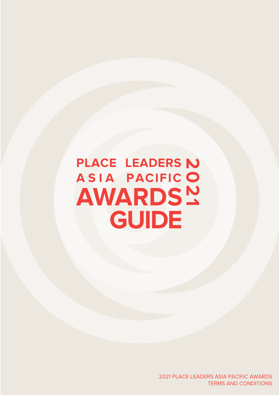# **PLACE LEADERS ASIA PACIFIC 2021 AWARDS GUIDE**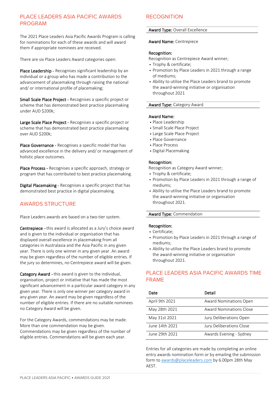## PLACE LEADERS ASIA PACIFIC AWARDS PROGRAM

The 2021 Place Leaders Asia Pacific Awards Program is calling for nominations for each of these awards and will award them if appropriate nominees are received.

There are six Place Leaders Award categories open:

Place Leadership - Recognises significant leadership by an individual or a group who has made a contribution to the advancement of placemaking through raising the national and/ or international profile of placemaking;

Small Scale Place Project - Recognises a specific project or scheme that has demonstrated best practice placemaking under AUD \$200k;

Large Scale Place Project - Recognises a specific project or scheme that has demonstrated best practice placemaking over AUD \$200k;

Place Governance - Recognises a specific model that has advanced excellence in the delivery and/ or management of holistic place outcomes.

Place Process - Recognises a specific approach, strategy or program that has contributed to best practice placemaking.

Digital Placemaking - Recognises a specific project that has demonstrated best practice in digital placemaking.

## AWARDS STRUCTURE

Place Leaders awards are based on a two-tier system.

Centrepiece - this award is allocated as a Jury's choice award and is given to the individual or organisation that has displayed overall excellence in placemaking from all categories in Australasia and the Asia Pacific in any given year. There is only one winner in any given year. An award may be given regardless of the number of eligible entries. If the jury so determines, no Centrepiece award will be given.

Category Award - this award is given to the individual, organisation, project or initiative that has made the most significant advancement in a particular award category in any given year. There is only one winner per category award in any given year. An award may be given regardless of the number of eligible entries. If there are no suitable nominees no Category Award will be given.

For the Category Awards, commendations may be made. More than one commendation may be given. Commendations may be given regardless of the number of eligible entries. Commendations will be given each year.

## **RECOGNITION**

### Award Type: Overall Excellence

#### Award Name: Centrepiece

#### Recognition:

Recognition as Centrepiece Award winner;

- Trophy & certificate;
- Promotion by Place Leaders in 2021 through a range of mediums;
- Ability to utilise the Place Leaders brand to promote the award-winning initiative or organisation throughout 2021

### Award Type: Category Award

### Award Name:

- Place Leadership
- Small Scale Place Project
- Large Scale Place Project
- Place Governance
- Place Process
- Digital Placemaking

#### Recognition:

Recognition as Category Award winner;

- Trophy & certificate;
- Promotion by Place Leaders in 2021 through a range of mediums;
- Ability to utilise the Place Leaders brand to promote the award-winning initiative or organisation throughout 2021.

#### Award Type: Commendation

#### Recognition:

- Certificate;
- Promotion by Place Leaders in 2021 through a range of mediums;
- Ability to utilise the Place Leaders brand to promote the award-winning initiative or organisation throughout 2021.

## PLACE LEADERS ASIA PACIFIC AWARDS TIME FRAME

| Date           | Detail                         |
|----------------|--------------------------------|
| April 9th 2021 | Award Nominations Open         |
| May 28th 2021  | <b>Award Nominations Close</b> |
| May 31st 2021  | Jury Deliberations Open        |
| June 14th 2021 | Jury Deliberations Close       |
| June 29th 2021 | Awards Evening - Sydney        |

Entries for all categories are made by completing an online entry awards nomination form or by emailing the submission form t[o awards@placeleaders.com](mailto:awards@placeleaders.com) by 6.00pm 28th May AEST.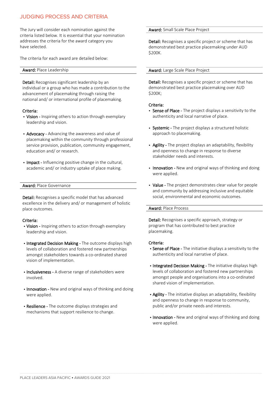## JUDGING PROCESS AND CRITERIA

The Jury will consider each nomination against the criteria listed below. It is essential that your nomination addresses the criteria for the award category you have selected.

The criteria for each award are detailed below:

#### Award: Place Leadership

Detail: Recognises significant leadership by an individual or a group who has made a contribution to the advancement of placemaking through raising the national and/ or international profile of placemaking.

#### Criteria:

- Vision Inspiring others to action through exemplary leadership and vision.
- Advocacy Advancing the awareness and value of placemaking within the community through professional service provision, publication, community engagement, education and/ or research.
- Impact Influencing positive change in the cultural, academic and/ or industry uptake of place making.

#### Award: Place Governance

Detail: Recognises a specific model that has advanced excellence in the delivery and/ or management of holistic place outcomes.

#### Criteria:

- Vision Inspiring others to action through exemplary leadership and vision.
- Integrated Decision Making The outcome displays high levels of collaboration and fostered new partnerships amongst stakeholders towards a co-ordinated shared vision of implementation.
- Inclusiveness A diverse range of stakeholders were involved.
- Innovation New and original ways of thinking and doing were applied.
- Resilience The outcome displays strategies and mechanisms that support resilience to change.

#### Award: Small Scale Place Project

Detail: Recognises a specific project or scheme that has demonstrated best practice placemaking under AUD \$200K.

#### Award: Large Scale Place Project

Detail: Recognises a specific project or scheme that has demonstrated best practice placemaking over AUD \$200K;

#### Criteria:

- Sense of Place The project displays a sensitivity to the authenticity and local narrative of place.
- Systemic The project displays a structured holistic approach to placemaking.
- Agility The project displays an adaptability, flexibility and openness to change in response to diverse stakeholder needs and interests.
- Innovation New and original ways of thinking and doing were applied.
- Value The project demonstrates clear value for people and community by addressing inclusive and equitable social, environmental and economic outcomes.

#### Award: Place Process

Detail: Recognises a specific approach, strategy or program that has contributed to best practice placemaking.

#### Criteria:

- Sense of Place The initiative displays a sensitivity to the authenticity and local narrative of place.
- Integrated Decision Making The initiative displays high levels of collaboration and fostered new partnerships amongst people and organisations into a co-ordinated shared vision of implementation.
- Agility The initiative displays an adaptability, flexibility and openness to change in response to community, public and/or private needs and interests.
- Innovation New and original ways of thinking and doing were applied.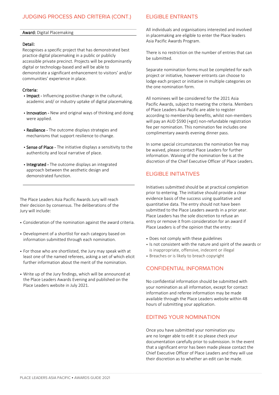## JUDGING PROCESS AND CRITERIA (CONT.)

#### Award: Digital Placemaking

#### Detail:

Recognises a specific project that has demonstrated best practice digital placemaking in a public or publicly accessible private precinct. Projects will be predominantly digital or technology-based and will be able to demonstrate a significant enhancement to visitors' and/or communities' experience in place.

#### Criteria:

- Impact Influencing positive change in the cultural, academic and/ or industry uptake of digital placemaking.
- Innovation New and original ways of thinking and doing were applied.
- Resilience The outcome displays strategies and mechanisms that support resilience to change.
- Sense of Place The initiative displays a sensitivity to the authenticity and local narrative of place.
- Integrated The outcome displays an integrated approach between the aesthetic design and demonstrated function.

The Place Leaders Asia Pacific Awards Jury will reach their decision by consensus. The deliberations of the Jury will include:

- Consideration of the nomination against the award criteria.
- Development of a shortlist for each category based on information submitted through each nomination.
- For those who are shortlisted, the Jury may speak with at least one of the named referees, asking a set of which elicit further information about the merit of the nomination.
- Write up of the Jury findings, which will be announced at the Place Leaders Awards Evening and published on the Place Leaders website in July 2021.

## ELIGIBLE ENTRANTS

All individuals and organisations interested and involved in placemaking are eligible to enter the Place leaders Asia Pacific Awards Program.

There is no restriction on the number of entries that can be submitted.

Separate nomination forms must be completed for each project or initiative, however entrants can choose to lodge each project or initiative in multiple categories on the one nomination form.

All nominees will be considered for the 2021 Asia Pacific Awards, subject to meeting the criteria. Members of Place Leaders Asia Pacific are able to register according to membership benefits, whilst non-members will pay an AUD \$590 (+gst) non-refundable registration fee per nomination. This nomination fee includes one complimentary awards evening dinner pass.

In some special circumstances the nomination fee may be waived, please contact Place Leaders for further information. Waiving of the nomination fee is at the discretion of the Chief Executive Officer of Place Leaders.

## ELIGIBLE INITIATIVES

Initiatives submitted should be at practical completion prior to entering. The initiative should provide a clear evidence basis of the success using qualitative and quantitative data. The entry should not have been submitted to the Place Leaders awards in a prior year. Place Leaders has the sole discretion to refuse an entry or remove it from consideration for an award if Place Leaders is of the opinion that the entry:

- Does not comply with these guidelines
- Is not consistent with the nature and spirit of the awards or is inappropriate, offensive, indecent or illegal
- Breaches or is likely to breach copyright

## CONFIDENTIAL INFORMATION

No confidential information should be submitted with your nomination as all information, except for contact information and referee information may be made available through the Place Leaders website within 48 hours of submitting your application.

## EDITING YOUR NOMINATION

-----------------------------------------------------------------------------------------------------------------------------------------------------------------------------------------------------------------------

Once you have submitted your nomination you are no longer able to edit it so please check your documentation carefully prior to submission. In the event that a significant error has been made please contact the Chief Executive Officer of Place Leaders and they will use their discretion as to whether an edit can be made.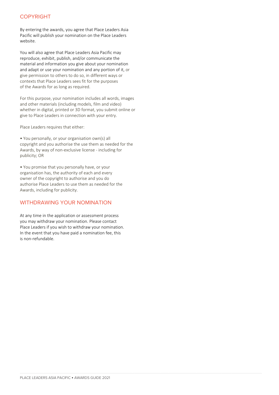## COPYRIGHT

By entering the awards, you agree that Place Leaders Asia Pacific will publish your nomination on the Place Leaders website.

You will also agree that Place Leaders Asia Pacific may reproduce, exhibit, publish, and/or communicate the material and information you give about your nomination and adapt or use your nomination and any portion of it, or give permission to others to do so, in different ways or contexts that Place Leaders sees fit for the purposes of the Awards for as long as required.

For this purpose, your nomination includes all words, images and other materials (including models, film and video) whether in digital, printed or 3D format, you submit online or give to Place Leaders in connection with your entry.

Place Leaders requires that either:

• You personally, or your organisation own(s) all copyright and you authorise the use them as needed for the Awards, by way of non-exclusive license - including for publicity; OR

• You promise that you personally have, or your organisation has, the authority of each and every owner of the copyright to authorise and you do authorise Place Leaders to use them as needed for the Awards, including for publicity.

## WITHDRAWING YOUR NOMINATION

At any time in the application or assessment process you may withdraw your nomination. Please contact Place Leaders if you wish to withdraw your nomination. In the event that you have paid a nomination fee, this is non-refundable.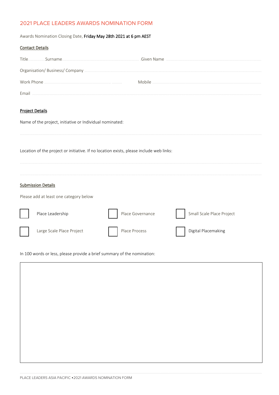## 2021 PLACE LEADERS AWARDS NOMINATION FORM

Awards Nomination Closing Date, Friday May 28th 2021 at 6 pm AEST

| <b>Contact Details</b>                 |                                                                                         |               |                  |  |                           |
|----------------------------------------|-----------------------------------------------------------------------------------------|---------------|------------------|--|---------------------------|
|                                        |                                                                                         |               |                  |  |                           |
|                                        |                                                                                         |               |                  |  |                           |
|                                        |                                                                                         |               |                  |  |                           |
|                                        |                                                                                         |               |                  |  |                           |
|                                        |                                                                                         |               |                  |  |                           |
| <b>Project Details</b>                 |                                                                                         |               |                  |  |                           |
|                                        | Name of the project, initiative or Individual nominated:                                |               |                  |  |                           |
|                                        |                                                                                         |               |                  |  |                           |
|                                        |                                                                                         |               |                  |  |                           |
|                                        | Location of the project or initiative. If no location exists, please include web links: |               |                  |  |                           |
|                                        |                                                                                         |               |                  |  |                           |
|                                        |                                                                                         |               |                  |  |                           |
| <b>Submission Details</b>              |                                                                                         |               |                  |  |                           |
| Please add at least one category below |                                                                                         |               |                  |  |                           |
|                                        |                                                                                         |               |                  |  |                           |
|                                        | Place Leadership                                                                        |               | Place Governance |  | Small Scale Place Project |
|                                        | Large Scale Place Project                                                               | Place Process |                  |  | Digital Placemaking       |
|                                        |                                                                                         |               |                  |  |                           |

In 100 words or less, please provide a brief summary of the nomination: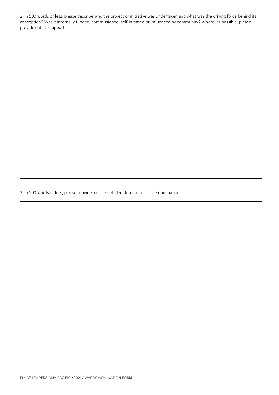2. In 500 words or less, please describe why the project or initiative was undertaken and what was the driving force behind its conception? Was it internally funded, commissioned, self-initiated or influenced by community? Wherever possible, please provide data to support.

3. In 500 words or less, please provide a more detailed description of the nomination.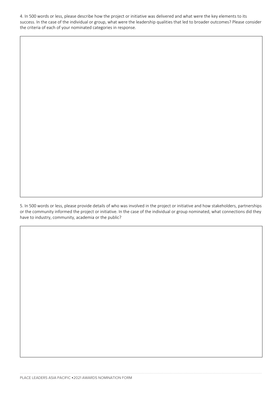4. In 500 words or less, please describe how the project or initiative was delivered and what were the key elements to its success. In the case of the individual or group, what were the leadership qualities that led to broader outcomes? Please consider the criteria of each of your nominated categories in response.

5. In 500 words or less, please provide details of who was involved in the project or initiative and how stakeholders, partnerships or the community informed the project or initiative. In the case of the individual or group nominated, what connections did they have to industry, community, academia or the public?